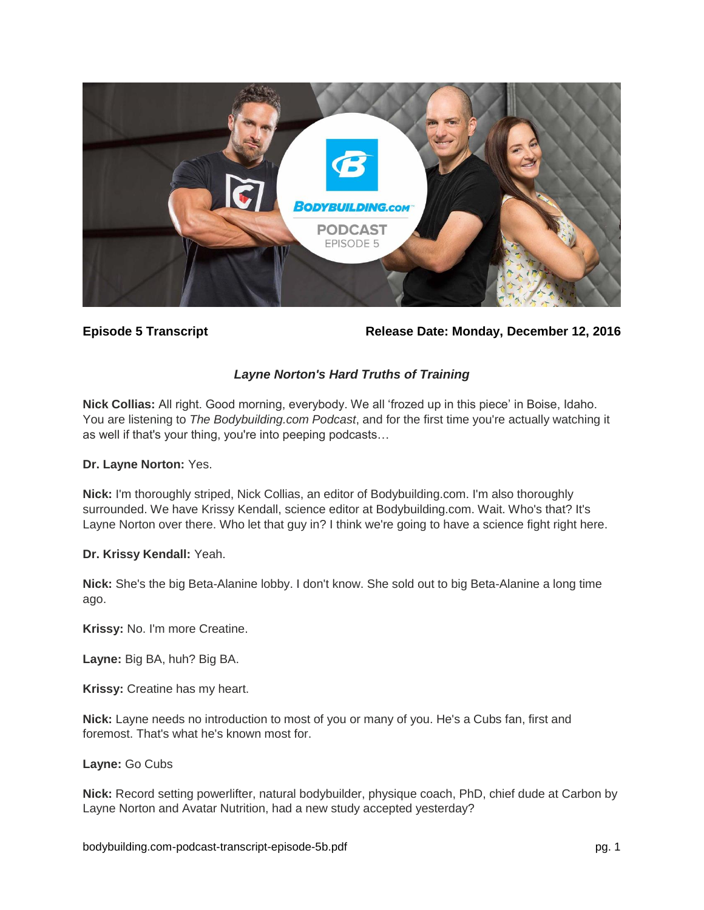

**Episode 5 Transcript Release Date: Monday, December 12, 2016**

# *Layne Norton's Hard Truths of Training*

**Nick Collias:** All right. Good morning, everybody. We all 'frozed up in this piece' in Boise, Idaho. You are listening to *The Bodybuilding.com Podcast*, and for the first time you're actually watching it as well if that's your thing, you're into peeping podcasts…

### **Dr. Layne Norton:** Yes.

**Nick:** I'm thoroughly striped, Nick Collias, an editor of Bodybuilding.com. I'm also thoroughly surrounded. We have Krissy Kendall, science editor at Bodybuilding.com. Wait. Who's that? It's Layne Norton over there. Who let that guy in? I think we're going to have a science fight right here.

### **Dr. Krissy Kendall:** Yeah.

**Nick:** She's the big Beta-Alanine lobby. I don't know. She sold out to big Beta-Alanine a long time ago.

**Krissy:** No. I'm more Creatine.

**Layne:** Big BA, huh? Big BA.

**Krissy:** Creatine has my heart.

**Nick:** Layne needs no introduction to most of you or many of you. He's a Cubs fan, first and foremost. That's what he's known most for.

### **Layne:** Go Cubs

**Nick:** Record setting powerlifter, natural bodybuilder, physique coach, PhD, chief dude at Carbon by Layne Norton and Avatar Nutrition, had a new study accepted yesterday?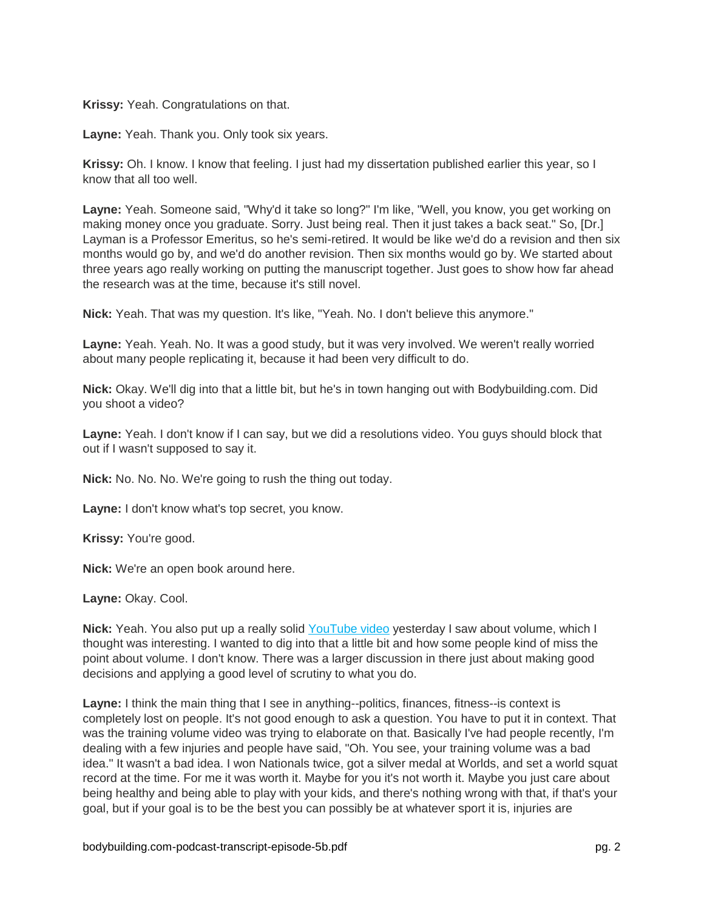**Krissy:** Yeah. Congratulations on that.

**Layne:** Yeah. Thank you. Only took six years.

**Krissy:** Oh. I know. I know that feeling. I just had my dissertation published earlier this year, so I know that all too well.

**Layne:** Yeah. Someone said, "Why'd it take so long?" I'm like, "Well, you know, you get working on making money once you graduate. Sorry. Just being real. Then it just takes a back seat." So, [Dr.] Layman is a Professor Emeritus, so he's semi-retired. It would be like we'd do a revision and then six months would go by, and we'd do another revision. Then six months would go by. We started about three years ago really working on putting the manuscript together. Just goes to show how far ahead the research was at the time, because it's still novel.

**Nick:** Yeah. That was my question. It's like, "Yeah. No. I don't believe this anymore."

**Layne:** Yeah. Yeah. No. It was a good study, but it was very involved. We weren't really worried about many people replicating it, because it had been very difficult to do.

**Nick:** Okay. We'll dig into that a little bit, but he's in town hanging out with Bodybuilding.com. Did you shoot a video?

**Layne:** Yeah. I don't know if I can say, but we did a resolutions video. You guys should block that out if I wasn't supposed to say it.

**Nick:** No. No. No. We're going to rush the thing out today.

**Layne:** I don't know what's top secret, you know.

**Krissy:** You're good.

**Nick:** We're an open book around here.

**Layne:** Okay. Cool.

**Nick:** Yeah. You also put up a really solid [YouTube video](https://www.youtube.com/watch?v=S_z0vLxQHmo) yesterday I saw about volume, which I thought was interesting. I wanted to dig into that a little bit and how some people kind of miss the point about volume. I don't know. There was a larger discussion in there just about making good decisions and applying a good level of scrutiny to what you do.

**Layne:** I think the main thing that I see in anything--politics, finances, fitness--is context is completely lost on people. It's not good enough to ask a question. You have to put it in context. That was the training volume video was trying to elaborate on that. Basically I've had people recently, I'm dealing with a few injuries and people have said, "Oh. You see, your training volume was a bad idea." It wasn't a bad idea. I won Nationals twice, got a silver medal at Worlds, and set a world squat record at the time. For me it was worth it. Maybe for you it's not worth it. Maybe you just care about being healthy and being able to play with your kids, and there's nothing wrong with that, if that's your goal, but if your goal is to be the best you can possibly be at whatever sport it is, injuries are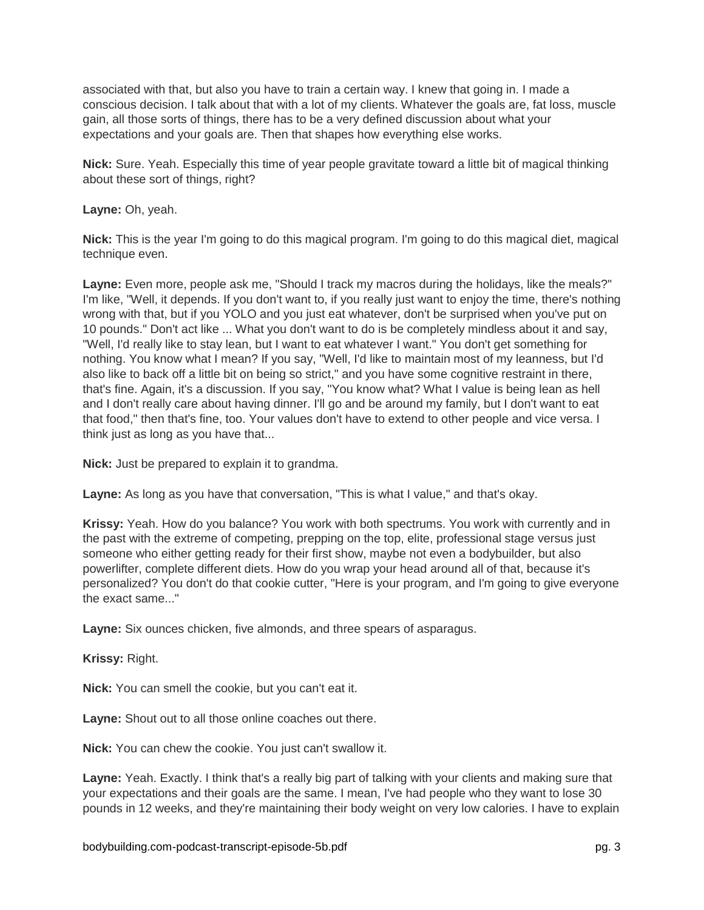associated with that, but also you have to train a certain way. I knew that going in. I made a conscious decision. I talk about that with a lot of my clients. Whatever the goals are, fat loss, muscle gain, all those sorts of things, there has to be a very defined discussion about what your expectations and your goals are. Then that shapes how everything else works.

**Nick:** Sure. Yeah. Especially this time of year people gravitate toward a little bit of magical thinking about these sort of things, right?

**Layne:** Oh, yeah.

**Nick:** This is the year I'm going to do this magical program. I'm going to do this magical diet, magical technique even.

**Layne:** Even more, people ask me, "Should I track my macros during the holidays, like the meals?" I'm like, "Well, it depends. If you don't want to, if you really just want to enjoy the time, there's nothing wrong with that, but if you YOLO and you just eat whatever, don't be surprised when you've put on 10 pounds." Don't act like ... What you don't want to do is be completely mindless about it and say, "Well, I'd really like to stay lean, but I want to eat whatever I want." You don't get something for nothing. You know what I mean? If you say, "Well, I'd like to maintain most of my leanness, but I'd also like to back off a little bit on being so strict," and you have some cognitive restraint in there, that's fine. Again, it's a discussion. If you say, "You know what? What I value is being lean as hell and I don't really care about having dinner. I'll go and be around my family, but I don't want to eat that food," then that's fine, too. Your values don't have to extend to other people and vice versa. I think just as long as you have that...

**Nick:** Just be prepared to explain it to grandma.

**Layne:** As long as you have that conversation, "This is what I value," and that's okay.

**Krissy:** Yeah. How do you balance? You work with both spectrums. You work with currently and in the past with the extreme of competing, prepping on the top, elite, professional stage versus just someone who either getting ready for their first show, maybe not even a bodybuilder, but also powerlifter, complete different diets. How do you wrap your head around all of that, because it's personalized? You don't do that cookie cutter, "Here is your program, and I'm going to give everyone the exact same..."

**Layne:** Six ounces chicken, five almonds, and three spears of asparagus.

**Krissy:** Right.

**Nick:** You can smell the cookie, but you can't eat it.

**Layne:** Shout out to all those online coaches out there.

**Nick:** You can chew the cookie. You just can't swallow it.

**Layne:** Yeah. Exactly. I think that's a really big part of talking with your clients and making sure that your expectations and their goals are the same. I mean, I've had people who they want to lose 30 pounds in 12 weeks, and they're maintaining their body weight on very low calories. I have to explain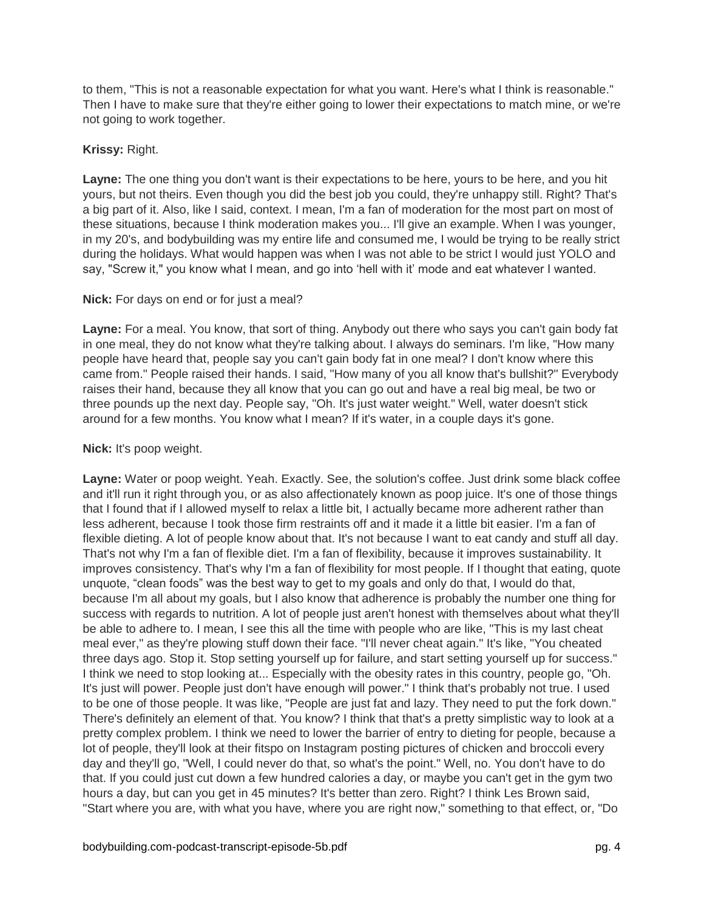to them, "This is not a reasonable expectation for what you want. Here's what I think is reasonable." Then I have to make sure that they're either going to lower their expectations to match mine, or we're not going to work together.

## **Krissy:** Right.

**Layne:** The one thing you don't want is their expectations to be here, yours to be here, and you hit yours, but not theirs. Even though you did the best job you could, they're unhappy still. Right? That's a big part of it. Also, like I said, context. I mean, I'm a fan of moderation for the most part on most of these situations, because I think moderation makes you... I'll give an example. When I was younger, in my 20's, and bodybuilding was my entire life and consumed me, I would be trying to be really strict during the holidays. What would happen was when I was not able to be strict I would just YOLO and say, "Screw it," you know what I mean, and go into 'hell with it' mode and eat whatever I wanted.

### **Nick:** For days on end or for just a meal?

**Layne:** For a meal. You know, that sort of thing. Anybody out there who says you can't gain body fat in one meal, they do not know what they're talking about. I always do seminars. I'm like, "How many people have heard that, people say you can't gain body fat in one meal? I don't know where this came from." People raised their hands. I said, "How many of you all know that's bullshit?" Everybody raises their hand, because they all know that you can go out and have a real big meal, be two or three pounds up the next day. People say, "Oh. It's just water weight." Well, water doesn't stick around for a few months. You know what I mean? If it's water, in a couple days it's gone.

## **Nick:** It's poop weight.

**Layne:** Water or poop weight. Yeah. Exactly. See, the solution's coffee. Just drink some black coffee and it'll run it right through you, or as also affectionately known as poop juice. It's one of those things that I found that if I allowed myself to relax a little bit, I actually became more adherent rather than less adherent, because I took those firm restraints off and it made it a little bit easier. I'm a fan of flexible dieting. A lot of people know about that. It's not because I want to eat candy and stuff all day. That's not why I'm a fan of flexible diet. I'm a fan of flexibility, because it improves sustainability. It improves consistency. That's why I'm a fan of flexibility for most people. If I thought that eating, quote unquote, "clean foods" was the best way to get to my goals and only do that, I would do that, because I'm all about my goals, but I also know that adherence is probably the number one thing for success with regards to nutrition. A lot of people just aren't honest with themselves about what they'll be able to adhere to. I mean, I see this all the time with people who are like, "This is my last cheat meal ever," as they're plowing stuff down their face. "I'll never cheat again." It's like, "You cheated three days ago. Stop it. Stop setting yourself up for failure, and start setting yourself up for success." I think we need to stop looking at... Especially with the obesity rates in this country, people go, "Oh. It's just will power. People just don't have enough will power." I think that's probably not true. I used to be one of those people. It was like, "People are just fat and lazy. They need to put the fork down." There's definitely an element of that. You know? I think that that's a pretty simplistic way to look at a pretty complex problem. I think we need to lower the barrier of entry to dieting for people, because a lot of people, they'll look at their fitspo on Instagram posting pictures of chicken and broccoli every day and they'll go, "Well, I could never do that, so what's the point." Well, no. You don't have to do that. If you could just cut down a few hundred calories a day, or maybe you can't get in the gym two hours a day, but can you get in 45 minutes? It's better than zero. Right? I think Les Brown said, "Start where you are, with what you have, where you are right now," something to that effect, or, "Do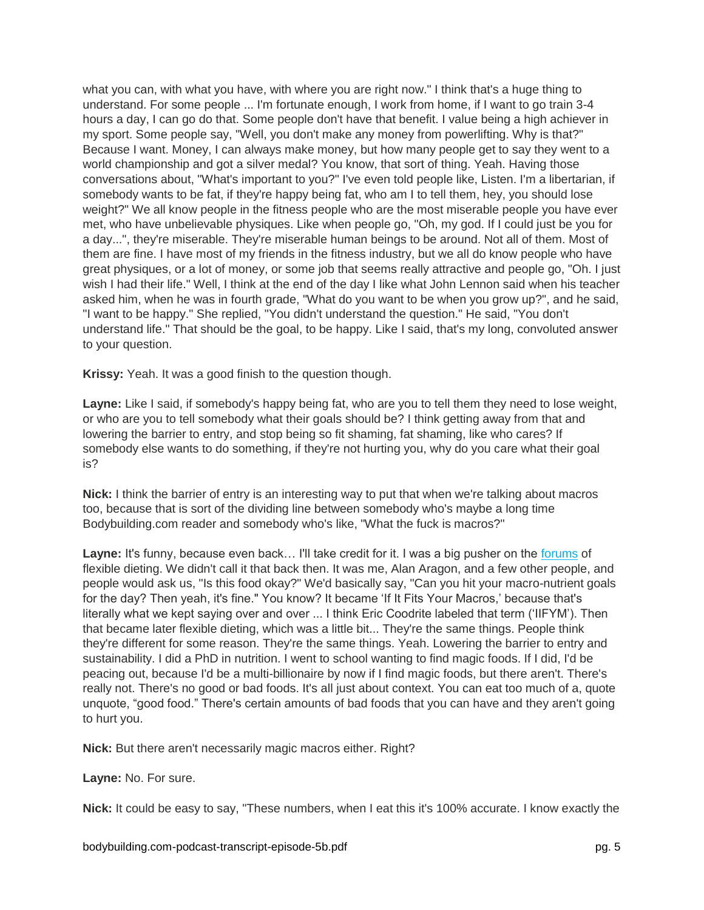what you can, with what you have, with where you are right now." I think that's a huge thing to understand. For some people ... I'm fortunate enough, I work from home, if I want to go train 3-4 hours a day, I can go do that. Some people don't have that benefit. I value being a high achiever in my sport. Some people say, "Well, you don't make any money from powerlifting. Why is that?" Because I want. Money, I can always make money, but how many people get to say they went to a world championship and got a silver medal? You know, that sort of thing. Yeah. Having those conversations about, "What's important to you?" I've even told people like, Listen. I'm a libertarian, if somebody wants to be fat, if they're happy being fat, who am I to tell them, hey, you should lose weight?" We all know people in the fitness people who are the most miserable people you have ever met, who have unbelievable physiques. Like when people go, "Oh, my god. If I could just be you for a day...", they're miserable. They're miserable human beings to be around. Not all of them. Most of them are fine. I have most of my friends in the fitness industry, but we all do know people who have great physiques, or a lot of money, or some job that seems really attractive and people go, "Oh. I just wish I had their life." Well, I think at the end of the day I like what John Lennon said when his teacher asked him, when he was in fourth grade, "What do you want to be when you grow up?", and he said, "I want to be happy." She replied, "You didn't understand the question." He said, "You don't understand life." That should be the goal, to be happy. Like I said, that's my long, convoluted answer to your question.

**Krissy:** Yeah. It was a good finish to the question though.

**Layne:** Like I said, if somebody's happy being fat, who are you to tell them they need to lose weight, or who are you to tell somebody what their goals should be? I think getting away from that and lowering the barrier to entry, and stop being so fit shaming, fat shaming, like who cares? If somebody else wants to do something, if they're not hurting you, why do you care what their goal is?

**Nick:** I think the barrier of entry is an interesting way to put that when we're talking about macros too, because that is sort of the dividing line between somebody who's maybe a long time Bodybuilding.com reader and somebody who's like, "What the fuck is macros?"

Layne: It's funny, because even back... I'll take credit for it. I was a big pusher on the [forums](http://forum.bodybuilding.com/) of flexible dieting. We didn't call it that back then. It was me, Alan Aragon, and a few other people, and people would ask us, "Is this food okay?" We'd basically say, "Can you hit your macro-nutrient goals for the day? Then yeah, it's fine." You know? It became 'If It Fits Your Macros,' because that's literally what we kept saying over and over ... I think Eric Coodrite labeled that term ('IIFYM'). Then that became later flexible dieting, which was a little bit... They're the same things. People think they're different for some reason. They're the same things. Yeah. Lowering the barrier to entry and sustainability. I did a PhD in nutrition. I went to school wanting to find magic foods. If I did, I'd be peacing out, because I'd be a multi-billionaire by now if I find magic foods, but there aren't. There's really not. There's no good or bad foods. It's all just about context. You can eat too much of a, quote unquote, "good food." There's certain amounts of bad foods that you can have and they aren't going to hurt you.

**Nick:** But there aren't necessarily magic macros either. Right?

**Layne:** No. For sure.

**Nick:** It could be easy to say, "These numbers, when I eat this it's 100% accurate. I know exactly the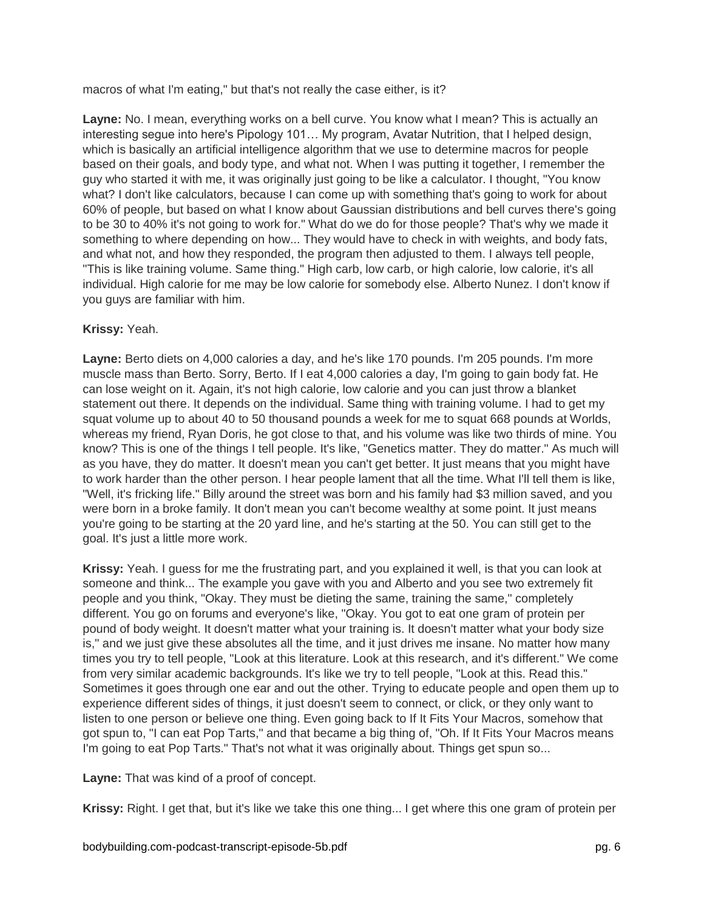macros of what I'm eating," but that's not really the case either, is it?

**Layne:** No. I mean, everything works on a bell curve. You know what I mean? This is actually an interesting segue into here's Pipology 101… My program, Avatar Nutrition, that I helped design, which is basically an artificial intelligence algorithm that we use to determine macros for people based on their goals, and body type, and what not. When I was putting it together, I remember the guy who started it with me, it was originally just going to be like a calculator. I thought, "You know what? I don't like calculators, because I can come up with something that's going to work for about 60% of people, but based on what I know about Gaussian distributions and bell curves there's going to be 30 to 40% it's not going to work for." What do we do for those people? That's why we made it something to where depending on how... They would have to check in with weights, and body fats, and what not, and how they responded, the program then adjusted to them. I always tell people, "This is like training volume. Same thing." High carb, low carb, or high calorie, low calorie, it's all individual. High calorie for me may be low calorie for somebody else. Alberto Nunez. I don't know if you guys are familiar with him.

## **Krissy:** Yeah.

**Layne:** Berto diets on 4,000 calories a day, and he's like 170 pounds. I'm 205 pounds. I'm more muscle mass than Berto. Sorry, Berto. If I eat 4,000 calories a day, I'm going to gain body fat. He can lose weight on it. Again, it's not high calorie, low calorie and you can just throw a blanket statement out there. It depends on the individual. Same thing with training volume. I had to get my squat volume up to about 40 to 50 thousand pounds a week for me to squat 668 pounds at Worlds, whereas my friend, Ryan Doris, he got close to that, and his volume was like two thirds of mine. You know? This is one of the things I tell people. It's like, "Genetics matter. They do matter." As much will as you have, they do matter. It doesn't mean you can't get better. It just means that you might have to work harder than the other person. I hear people lament that all the time. What I'll tell them is like, "Well, it's fricking life." Billy around the street was born and his family had \$3 million saved, and you were born in a broke family. It don't mean you can't become wealthy at some point. It just means you're going to be starting at the 20 yard line, and he's starting at the 50. You can still get to the goal. It's just a little more work.

**Krissy:** Yeah. I guess for me the frustrating part, and you explained it well, is that you can look at someone and think... The example you gave with you and Alberto and you see two extremely fit people and you think, "Okay. They must be dieting the same, training the same," completely different. You go on forums and everyone's like, "Okay. You got to eat one gram of protein per pound of body weight. It doesn't matter what your training is. It doesn't matter what your body size is," and we just give these absolutes all the time, and it just drives me insane. No matter how many times you try to tell people, "Look at this literature. Look at this research, and it's different." We come from very similar academic backgrounds. It's like we try to tell people, "Look at this. Read this." Sometimes it goes through one ear and out the other. Trying to educate people and open them up to experience different sides of things, it just doesn't seem to connect, or click, or they only want to listen to one person or believe one thing. Even going back to If It Fits Your Macros, somehow that got spun to, "I can eat Pop Tarts," and that became a big thing of, "Oh. If It Fits Your Macros means I'm going to eat Pop Tarts." That's not what it was originally about. Things get spun so...

**Layne:** That was kind of a proof of concept.

**Krissy:** Right. I get that, but it's like we take this one thing... I get where this one gram of protein per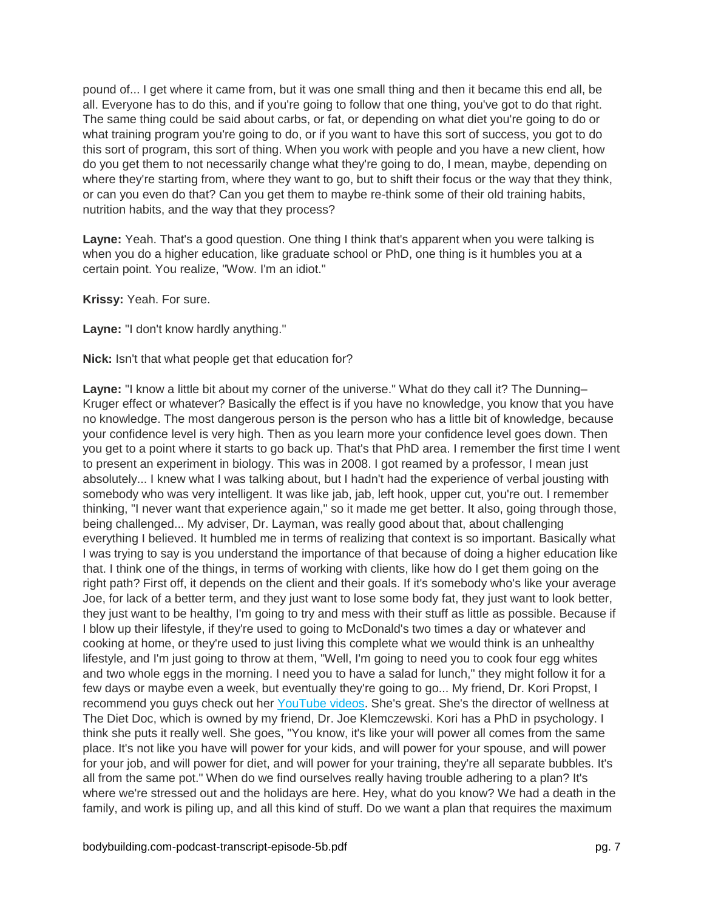pound of... I get where it came from, but it was one small thing and then it became this end all, be all. Everyone has to do this, and if you're going to follow that one thing, you've got to do that right. The same thing could be said about carbs, or fat, or depending on what diet you're going to do or what training program you're going to do, or if you want to have this sort of success, you got to do this sort of program, this sort of thing. When you work with people and you have a new client, how do you get them to not necessarily change what they're going to do, I mean, maybe, depending on where they're starting from, where they want to go, but to shift their focus or the way that they think, or can you even do that? Can you get them to maybe re-think some of their old training habits, nutrition habits, and the way that they process?

**Layne:** Yeah. That's a good question. One thing I think that's apparent when you were talking is when you do a higher education, like graduate school or PhD, one thing is it humbles you at a certain point. You realize, "Wow. I'm an idiot."

**Krissy:** Yeah. For sure.

**Layne:** "I don't know hardly anything."

**Nick:** Isn't that what people get that education for?

Layne: "I know a little bit about my corner of the universe." What do they call it? The Dunning-Kruger effect or whatever? Basically the effect is if you have no knowledge, you know that you have no knowledge. The most dangerous person is the person who has a little bit of knowledge, because your confidence level is very high. Then as you learn more your confidence level goes down. Then you get to a point where it starts to go back up. That's that PhD area. I remember the first time I went to present an experiment in biology. This was in 2008. I got reamed by a professor, I mean just absolutely... I knew what I was talking about, but I hadn't had the experience of verbal jousting with somebody who was very intelligent. It was like jab, jab, left hook, upper cut, you're out. I remember thinking, "I never want that experience again," so it made me get better. It also, going through those, being challenged... My adviser, Dr. Layman, was really good about that, about challenging everything I believed. It humbled me in terms of realizing that context is so important. Basically what I was trying to say is you understand the importance of that because of doing a higher education like that. I think one of the things, in terms of working with clients, like how do I get them going on the right path? First off, it depends on the client and their goals. If it's somebody who's like your average Joe, for lack of a better term, and they just want to lose some body fat, they just want to look better, they just want to be healthy, I'm going to try and mess with their stuff as little as possible. Because if I blow up their lifestyle, if they're used to going to McDonald's two times a day or whatever and cooking at home, or they're used to just living this complete what we would think is an unhealthy lifestyle, and I'm just going to throw at them, "Well, I'm going to need you to cook four egg whites and two whole eggs in the morning. I need you to have a salad for lunch," they might follow it for a few days or maybe even a week, but eventually they're going to go... My friend, Dr. Kori Propst, I recommend you guys check out her [YouTube videos.](https://www.youtube.com/user/thedietdocweightloss) She's great. She's the director of wellness at The Diet Doc, which is owned by my friend, Dr. Joe Klemczewski. Kori has a PhD in psychology. I think she puts it really well. She goes, "You know, it's like your will power all comes from the same place. It's not like you have will power for your kids, and will power for your spouse, and will power for your job, and will power for diet, and will power for your training, they're all separate bubbles. It's all from the same pot." When do we find ourselves really having trouble adhering to a plan? It's where we're stressed out and the holidays are here. Hey, what do you know? We had a death in the family, and work is piling up, and all this kind of stuff. Do we want a plan that requires the maximum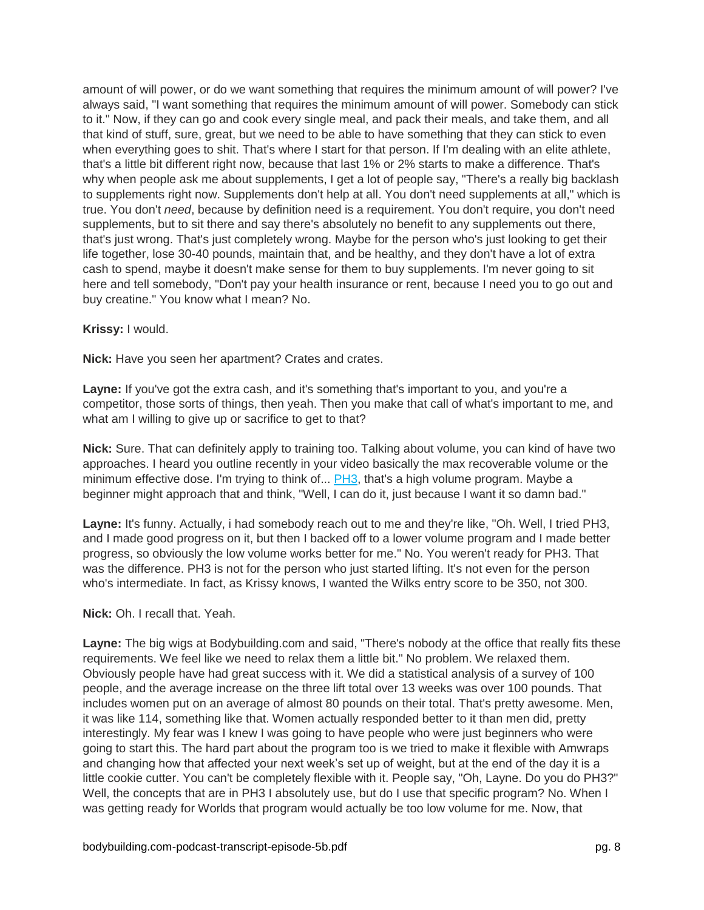amount of will power, or do we want something that requires the minimum amount of will power? I've always said, "I want something that requires the minimum amount of will power. Somebody can stick to it." Now, if they can go and cook every single meal, and pack their meals, and take them, and all that kind of stuff, sure, great, but we need to be able to have something that they can stick to even when everything goes to shit. That's where I start for that person. If I'm dealing with an elite athlete, that's a little bit different right now, because that last 1% or 2% starts to make a difference. That's why when people ask me about supplements, I get a lot of people say, "There's a really big backlash to supplements right now. Supplements don't help at all. You don't need supplements at all," which is true. You don't *need*, because by definition need is a requirement. You don't require, you don't need supplements, but to sit there and say there's absolutely no benefit to any supplements out there, that's just wrong. That's just completely wrong. Maybe for the person who's just looking to get their life together, lose 30-40 pounds, maintain that, and be healthy, and they don't have a lot of extra cash to spend, maybe it doesn't make sense for them to buy supplements. I'm never going to sit here and tell somebody, "Don't pay your health insurance or rent, because I need you to go out and buy creatine." You know what I mean? No.

## **Krissy:** I would.

**Nick:** Have you seen her apartment? Crates and crates.

**Layne:** If you've got the extra cash, and it's something that's important to you, and you're a competitor, those sorts of things, then yeah. Then you make that call of what's important to me, and what am I willing to give up or sacrifice to get to that?

**Nick:** Sure. That can definitely apply to training too. Talking about volume, you can kind of have two approaches. I heard you outline recently in your video basically the max recoverable volume or the minimum effective dose. I'm trying to think of... [PH3,](http://www.bodybuilding.com/fun/ph3-layne-norton-power-and-hypertrophy-trainer.html) that's a high volume program. Maybe a beginner might approach that and think, "Well, I can do it, just because I want it so damn bad."

**Layne:** It's funny. Actually, i had somebody reach out to me and they're like, "Oh. Well, I tried PH3, and I made good progress on it, but then I backed off to a lower volume program and I made better progress, so obviously the low volume works better for me." No. You weren't ready for PH3. That was the difference. PH3 is not for the person who just started lifting. It's not even for the person who's intermediate. In fact, as Krissy knows, I wanted the Wilks entry score to be 350, not 300.

### **Nick:** Oh. I recall that. Yeah.

**Layne:** The big wigs at Bodybuilding.com and said, "There's nobody at the office that really fits these requirements. We feel like we need to relax them a little bit." No problem. We relaxed them. Obviously people have had great success with it. We did a statistical analysis of a survey of 100 people, and the average increase on the three lift total over 13 weeks was over 100 pounds. That includes women put on an average of almost 80 pounds on their total. That's pretty awesome. Men, it was like 114, something like that. Women actually responded better to it than men did, pretty interestingly. My fear was I knew I was going to have people who were just beginners who were going to start this. The hard part about the program too is we tried to make it flexible with Amwraps and changing how that affected your next week's set up of weight, but at the end of the day it is a little cookie cutter. You can't be completely flexible with it. People say, "Oh, Layne. Do you do PH3?" Well, the concepts that are in PH3 I absolutely use, but do I use that specific program? No. When I was getting ready for Worlds that program would actually be too low volume for me. Now, that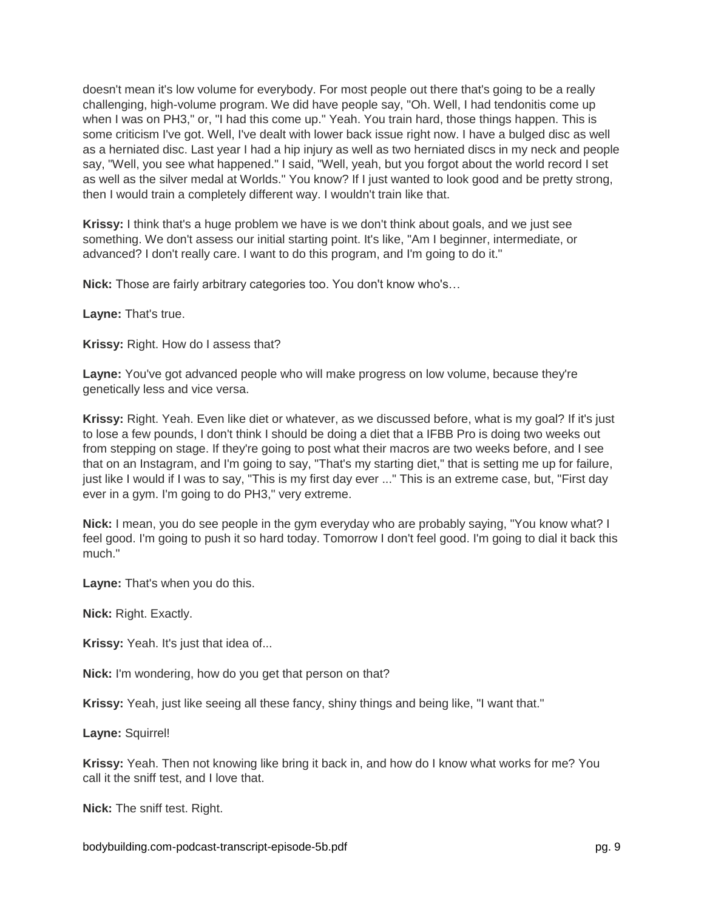doesn't mean it's low volume for everybody. For most people out there that's going to be a really challenging, high-volume program. We did have people say, "Oh. Well, I had tendonitis come up when I was on PH3," or, "I had this come up." Yeah. You train hard, those things happen. This is some criticism I've got. Well, I've dealt with lower back issue right now. I have a bulged disc as well as a herniated disc. Last year I had a hip injury as well as two herniated discs in my neck and people say, "Well, you see what happened." I said, "Well, yeah, but you forgot about the world record I set as well as the silver medal at Worlds." You know? If I just wanted to look good and be pretty strong, then I would train a completely different way. I wouldn't train like that.

**Krissy:** I think that's a huge problem we have is we don't think about goals, and we just see something. We don't assess our initial starting point. It's like, "Am I beginner, intermediate, or advanced? I don't really care. I want to do this program, and I'm going to do it."

**Nick:** Those are fairly arbitrary categories too. You don't know who's…

**Layne:** That's true.

**Krissy:** Right. How do I assess that?

**Layne:** You've got advanced people who will make progress on low volume, because they're genetically less and vice versa.

**Krissy:** Right. Yeah. Even like diet or whatever, as we discussed before, what is my goal? If it's just to lose a few pounds, I don't think I should be doing a diet that a IFBB Pro is doing two weeks out from stepping on stage. If they're going to post what their macros are two weeks before, and I see that on an Instagram, and I'm going to say, "That's my starting diet," that is setting me up for failure, just like I would if I was to say, "This is my first day ever ..." This is an extreme case, but, "First day ever in a gym. I'm going to do PH3," very extreme.

**Nick:** I mean, you do see people in the gym everyday who are probably saying, "You know what? I feel good. I'm going to push it so hard today. Tomorrow I don't feel good. I'm going to dial it back this much."

**Layne:** That's when you do this.

**Nick:** Right. Exactly.

**Krissy:** Yeah. It's just that idea of...

**Nick:** I'm wondering, how do you get that person on that?

**Krissy:** Yeah, just like seeing all these fancy, shiny things and being like, "I want that."

**Layne:** Squirrel!

**Krissy:** Yeah. Then not knowing like bring it back in, and how do I know what works for me? You call it the sniff test, and I love that.

**Nick:** The sniff test. Right.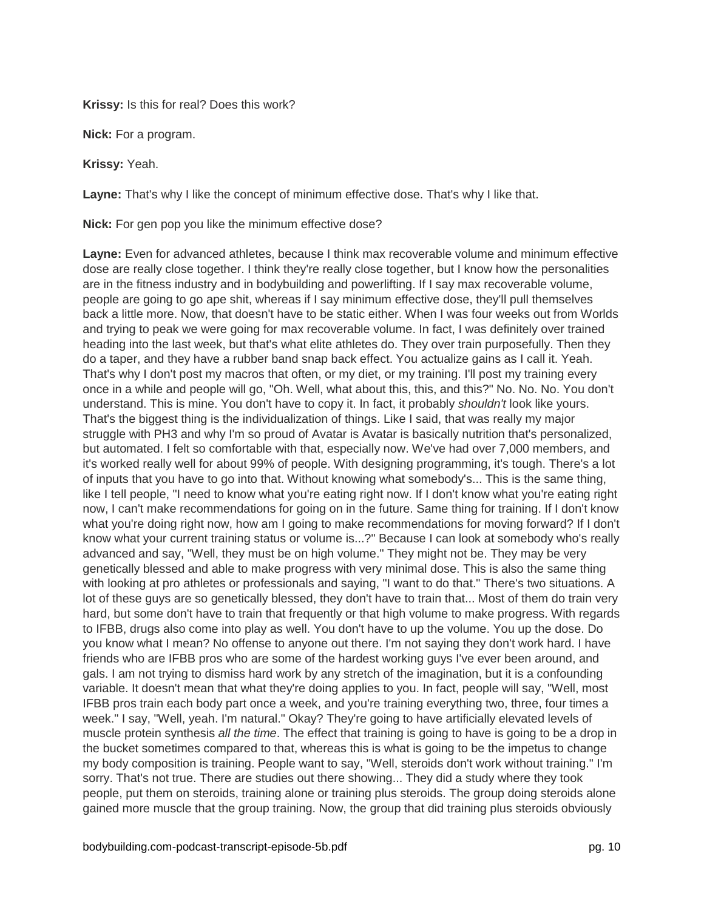**Krissy:** Is this for real? Does this work?

**Nick:** For a program.

**Krissy:** Yeah.

**Layne:** That's why I like the concept of minimum effective dose. That's why I like that.

**Nick:** For gen pop you like the minimum effective dose?

**Layne:** Even for advanced athletes, because I think max recoverable volume and minimum effective dose are really close together. I think they're really close together, but I know how the personalities are in the fitness industry and in bodybuilding and powerlifting. If I say max recoverable volume, people are going to go ape shit, whereas if I say minimum effective dose, they'll pull themselves back a little more. Now, that doesn't have to be static either. When I was four weeks out from Worlds and trying to peak we were going for max recoverable volume. In fact, I was definitely over trained heading into the last week, but that's what elite athletes do. They over train purposefully. Then they do a taper, and they have a rubber band snap back effect. You actualize gains as I call it. Yeah. That's why I don't post my macros that often, or my diet, or my training. I'll post my training every once in a while and people will go, "Oh. Well, what about this, this, and this?" No. No. No. You don't understand. This is mine. You don't have to copy it. In fact, it probably *shouldn't* look like yours. That's the biggest thing is the individualization of things. Like I said, that was really my major struggle with PH3 and why I'm so proud of Avatar is Avatar is basically nutrition that's personalized, but automated. I felt so comfortable with that, especially now. We've had over 7,000 members, and it's worked really well for about 99% of people. With designing programming, it's tough. There's a lot of inputs that you have to go into that. Without knowing what somebody's... This is the same thing, like I tell people, "I need to know what you're eating right now. If I don't know what you're eating right now, I can't make recommendations for going on in the future. Same thing for training. If I don't know what you're doing right now, how am I going to make recommendations for moving forward? If I don't know what your current training status or volume is...?" Because I can look at somebody who's really advanced and say, "Well, they must be on high volume." They might not be. They may be very genetically blessed and able to make progress with very minimal dose. This is also the same thing with looking at pro athletes or professionals and saying, "I want to do that." There's two situations. A lot of these guys are so genetically blessed, they don't have to train that... Most of them do train very hard, but some don't have to train that frequently or that high volume to make progress. With regards to IFBB, drugs also come into play as well. You don't have to up the volume. You up the dose. Do you know what I mean? No offense to anyone out there. I'm not saying they don't work hard. I have friends who are IFBB pros who are some of the hardest working guys I've ever been around, and gals. I am not trying to dismiss hard work by any stretch of the imagination, but it is a confounding variable. It doesn't mean that what they're doing applies to you. In fact, people will say, "Well, most IFBB pros train each body part once a week, and you're training everything two, three, four times a week." I say, "Well, yeah. I'm natural." Okay? They're going to have artificially elevated levels of muscle protein synthesis *all the time*. The effect that training is going to have is going to be a drop in the bucket sometimes compared to that, whereas this is what is going to be the impetus to change my body composition is training. People want to say, "Well, steroids don't work without training." I'm sorry. That's not true. There are studies out there showing... They did a study where they took people, put them on steroids, training alone or training plus steroids. The group doing steroids alone gained more muscle that the group training. Now, the group that did training plus steroids obviously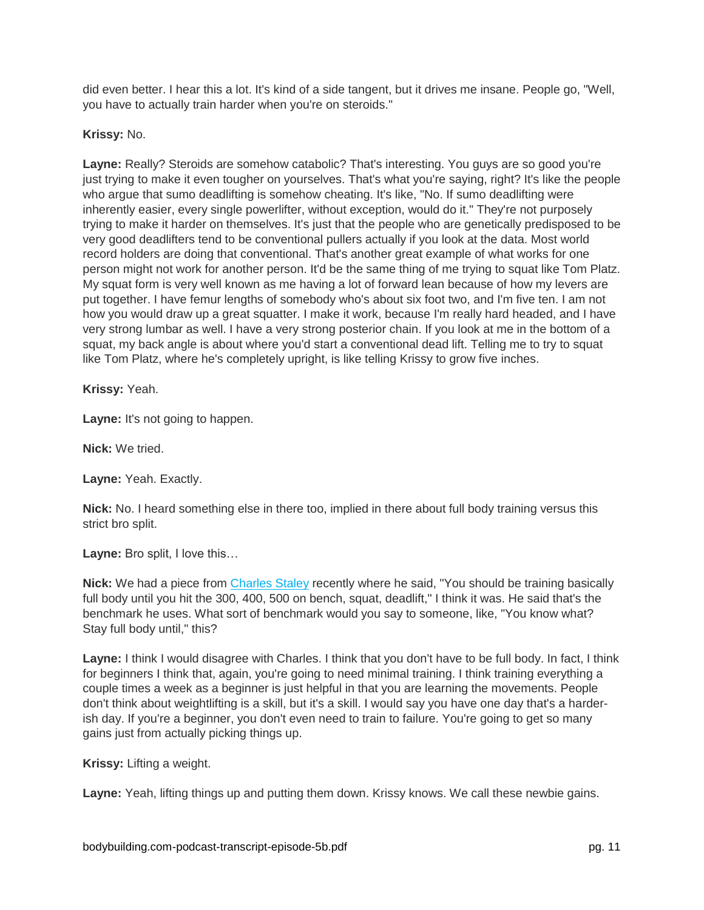did even better. I hear this a lot. It's kind of a side tangent, but it drives me insane. People go, "Well, you have to actually train harder when you're on steroids."

## **Krissy:** No.

**Layne:** Really? Steroids are somehow catabolic? That's interesting. You guys are so good you're just trying to make it even tougher on yourselves. That's what you're saying, right? It's like the people who argue that sumo deadlifting is somehow cheating. It's like, "No. If sumo deadlifting were inherently easier, every single powerlifter, without exception, would do it." They're not purposely trying to make it harder on themselves. It's just that the people who are genetically predisposed to be very good deadlifters tend to be conventional pullers actually if you look at the data. Most world record holders are doing that conventional. That's another great example of what works for one person might not work for another person. It'd be the same thing of me trying to squat like Tom Platz. My squat form is very well known as me having a lot of forward lean because of how my levers are put together. I have femur lengths of somebody who's about six foot two, and I'm five ten. I am not how you would draw up a great squatter. I make it work, because I'm really hard headed, and I have very strong lumbar as well. I have a very strong posterior chain. If you look at me in the bottom of a squat, my back angle is about where you'd start a conventional dead lift. Telling me to try to squat like Tom Platz, where he's completely upright, is like telling Krissy to grow five inches.

**Krissy:** Yeah.

**Layne:** It's not going to happen.

**Nick:** We tried.

**Layne:** Yeah. Exactly.

**Nick:** No. I heard something else in there too, implied in there about full body training versus this strict bro split.

**Layne:** Bro split, I love this…

**Nick:** We had a piece from [Charles Staley](http://www.bodybuilding.com/content/why-full-body-workouts-make-you-stronger.html) recently where he said, "You should be training basically full body until you hit the 300, 400, 500 on bench, squat, deadlift," I think it was. He said that's the benchmark he uses. What sort of benchmark would you say to someone, like, "You know what? Stay full body until," this?

**Layne:** I think I would disagree with Charles. I think that you don't have to be full body. In fact, I think for beginners I think that, again, you're going to need minimal training. I think training everything a couple times a week as a beginner is just helpful in that you are learning the movements. People don't think about weightlifting is a skill, but it's a skill. I would say you have one day that's a harderish day. If you're a beginner, you don't even need to train to failure. You're going to get so many gains just from actually picking things up.

**Krissy:** Lifting a weight.

**Layne:** Yeah, lifting things up and putting them down. Krissy knows. We call these newbie gains.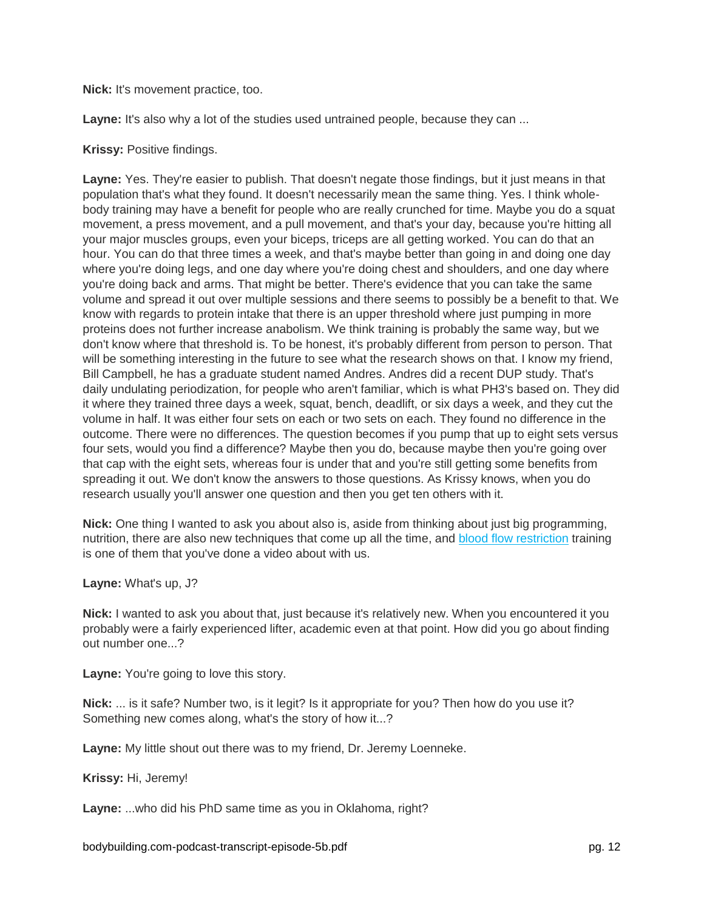**Nick:** It's movement practice, too.

Layne: It's also why a lot of the studies used untrained people, because they can ...

#### **Krissy:** Positive findings.

**Layne:** Yes. They're easier to publish. That doesn't negate those findings, but it just means in that population that's what they found. It doesn't necessarily mean the same thing. Yes. I think wholebody training may have a benefit for people who are really crunched for time. Maybe you do a squat movement, a press movement, and a pull movement, and that's your day, because you're hitting all your major muscles groups, even your biceps, triceps are all getting worked. You can do that an hour. You can do that three times a week, and that's maybe better than going in and doing one day where you're doing legs, and one day where you're doing chest and shoulders, and one day where you're doing back and arms. That might be better. There's evidence that you can take the same volume and spread it out over multiple sessions and there seems to possibly be a benefit to that. We know with regards to protein intake that there is an upper threshold where just pumping in more proteins does not further increase anabolism. We think training is probably the same way, but we don't know where that threshold is. To be honest, it's probably different from person to person. That will be something interesting in the future to see what the research shows on that. I know my friend, Bill Campbell, he has a graduate student named Andres. Andres did a recent DUP study. That's daily undulating periodization, for people who aren't familiar, which is what PH3's based on. They did it where they trained three days a week, squat, bench, deadlift, or six days a week, and they cut the volume in half. It was either four sets on each or two sets on each. They found no difference in the outcome. There were no differences. The question becomes if you pump that up to eight sets versus four sets, would you find a difference? Maybe then you do, because maybe then you're going over that cap with the eight sets, whereas four is under that and you're still getting some benefits from spreading it out. We don't know the answers to those questions. As Krissy knows, when you do research usually you'll answer one question and then you get ten others with it.

**Nick:** One thing I wanted to ask you about also is, aside from thinking about just big programming, nutrition, there are also new techniques that come up all the time, and [blood flow restriction](https://www.youtube.com/watch?v=aexBaspfvV0) training is one of them that you've done a video about with us.

#### **Layne:** What's up, J?

**Nick:** I wanted to ask you about that, just because it's relatively new. When you encountered it you probably were a fairly experienced lifter, academic even at that point. How did you go about finding out number one...?

**Layne:** You're going to love this story.

**Nick:** ... is it safe? Number two, is it legit? Is it appropriate for you? Then how do you use it? Something new comes along, what's the story of how it...?

**Layne:** My little shout out there was to my friend, Dr. Jeremy Loenneke.

**Krissy:** Hi, Jeremy!

**Layne:** ...who did his PhD same time as you in Oklahoma, right?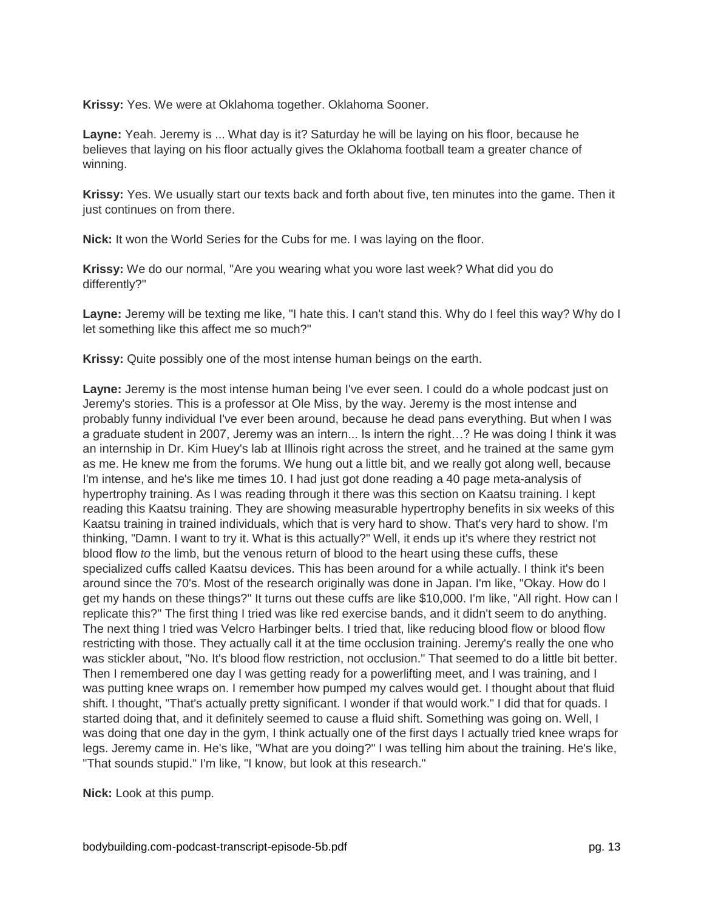**Krissy:** Yes. We were at Oklahoma together. Oklahoma Sooner.

**Layne:** Yeah. Jeremy is ... What day is it? Saturday he will be laying on his floor, because he believes that laying on his floor actually gives the Oklahoma football team a greater chance of winning.

**Krissy:** Yes. We usually start our texts back and forth about five, ten minutes into the game. Then it just continues on from there.

**Nick:** It won the World Series for the Cubs for me. I was laying on the floor.

**Krissy:** We do our normal, "Are you wearing what you wore last week? What did you do differently?"

**Layne:** Jeremy will be texting me like, "I hate this. I can't stand this. Why do I feel this way? Why do I let something like this affect me so much?"

**Krissy:** Quite possibly one of the most intense human beings on the earth.

**Layne:** Jeremy is the most intense human being I've ever seen. I could do a whole podcast just on Jeremy's stories. This is a professor at Ole Miss, by the way. Jeremy is the most intense and probably funny individual I've ever been around, because he dead pans everything. But when I was a graduate student in 2007, Jeremy was an intern... Is intern the right…? He was doing I think it was an internship in Dr. Kim Huey's lab at Illinois right across the street, and he trained at the same gym as me. He knew me from the forums. We hung out a little bit, and we really got along well, because I'm intense, and he's like me times 10. I had just got done reading a 40 page meta-analysis of hypertrophy training. As I was reading through it there was this section on Kaatsu training. I kept reading this Kaatsu training. They are showing measurable hypertrophy benefits in six weeks of this Kaatsu training in trained individuals, which that is very hard to show. That's very hard to show. I'm thinking, "Damn. I want to try it. What is this actually?" Well, it ends up it's where they restrict not blood flow *to* the limb, but the venous return of blood to the heart using these cuffs, these specialized cuffs called Kaatsu devices. This has been around for a while actually. I think it's been around since the 70's. Most of the research originally was done in Japan. I'm like, "Okay. How do I get my hands on these things?" It turns out these cuffs are like \$10,000. I'm like, "All right. How can I replicate this?" The first thing I tried was like red exercise bands, and it didn't seem to do anything. The next thing I tried was Velcro Harbinger belts. I tried that, like reducing blood flow or blood flow restricting with those. They actually call it at the time occlusion training. Jeremy's really the one who was stickler about, "No. It's blood flow restriction, not occlusion." That seemed to do a little bit better. Then I remembered one day I was getting ready for a powerlifting meet, and I was training, and I was putting knee wraps on. I remember how pumped my calves would get. I thought about that fluid shift. I thought, "That's actually pretty significant. I wonder if that would work." I did that for quads. I started doing that, and it definitely seemed to cause a fluid shift. Something was going on. Well, I was doing that one day in the gym, I think actually one of the first days I actually tried knee wraps for legs. Jeremy came in. He's like, "What are you doing?" I was telling him about the training. He's like, "That sounds stupid." I'm like, "I know, but look at this research."

**Nick:** Look at this pump.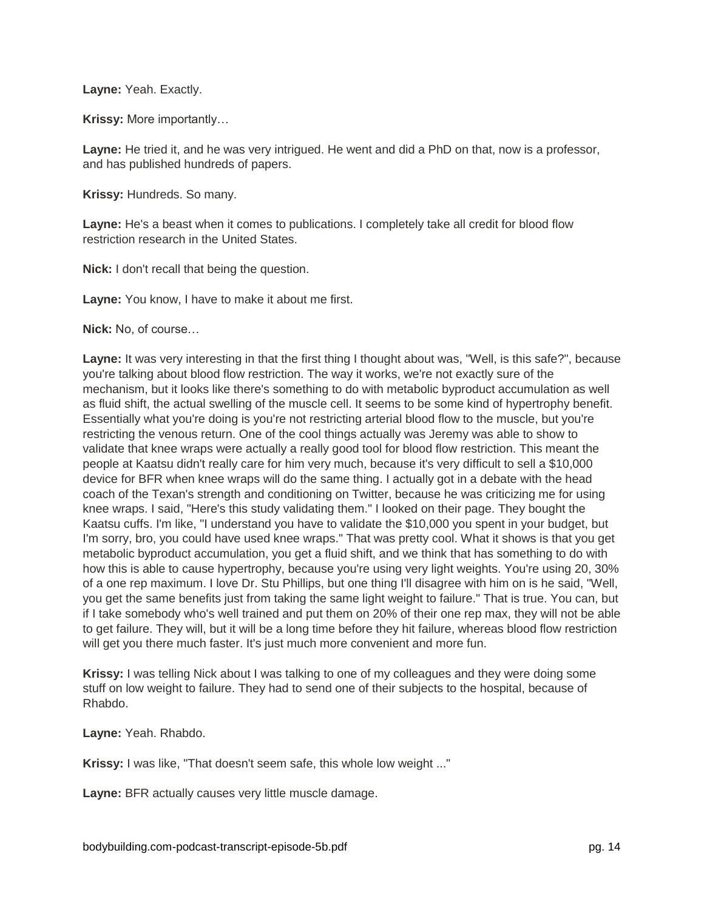**Layne:** Yeah. Exactly.

**Krissy:** More importantly…

**Layne:** He tried it, and he was very intrigued. He went and did a PhD on that, now is a professor, and has published hundreds of papers.

**Krissy:** Hundreds. So many.

**Layne:** He's a beast when it comes to publications. I completely take all credit for blood flow restriction research in the United States.

**Nick:** I don't recall that being the question.

**Layne:** You know, I have to make it about me first.

**Nick:** No, of course…

**Layne:** It was very interesting in that the first thing I thought about was, "Well, is this safe?", because you're talking about blood flow restriction. The way it works, we're not exactly sure of the mechanism, but it looks like there's something to do with metabolic byproduct accumulation as well as fluid shift, the actual swelling of the muscle cell. It seems to be some kind of hypertrophy benefit. Essentially what you're doing is you're not restricting arterial blood flow to the muscle, but you're restricting the venous return. One of the cool things actually was Jeremy was able to show to validate that knee wraps were actually a really good tool for blood flow restriction. This meant the people at Kaatsu didn't really care for him very much, because it's very difficult to sell a \$10,000 device for BFR when knee wraps will do the same thing. I actually got in a debate with the head coach of the Texan's strength and conditioning on Twitter, because he was criticizing me for using knee wraps. I said, "Here's this study validating them." I looked on their page. They bought the Kaatsu cuffs. I'm like, "I understand you have to validate the \$10,000 you spent in your budget, but I'm sorry, bro, you could have used knee wraps." That was pretty cool. What it shows is that you get metabolic byproduct accumulation, you get a fluid shift, and we think that has something to do with how this is able to cause hypertrophy, because you're using very light weights. You're using 20, 30% of a one rep maximum. I love Dr. Stu Phillips, but one thing I'll disagree with him on is he said, "Well, you get the same benefits just from taking the same light weight to failure." That is true. You can, but if I take somebody who's well trained and put them on 20% of their one rep max, they will not be able to get failure. They will, but it will be a long time before they hit failure, whereas blood flow restriction will get you there much faster. It's just much more convenient and more fun.

**Krissy:** I was telling Nick about I was talking to one of my colleagues and they were doing some stuff on low weight to failure. They had to send one of their subjects to the hospital, because of Rhabdo.

**Layne:** Yeah. Rhabdo.

**Krissy:** I was like, "That doesn't seem safe, this whole low weight ..."

**Layne:** BFR actually causes very little muscle damage.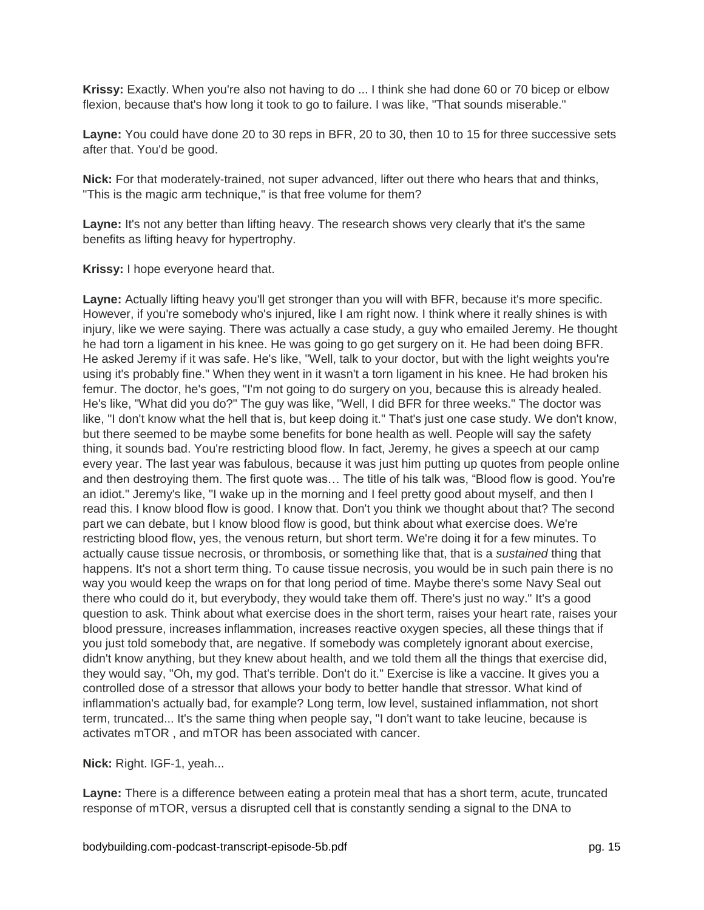**Krissy:** Exactly. When you're also not having to do ... I think she had done 60 or 70 bicep or elbow flexion, because that's how long it took to go to failure. I was like, "That sounds miserable."

**Layne:** You could have done 20 to 30 reps in BFR, 20 to 30, then 10 to 15 for three successive sets after that. You'd be good.

**Nick:** For that moderately-trained, not super advanced, lifter out there who hears that and thinks, "This is the magic arm technique," is that free volume for them?

**Layne:** It's not any better than lifting heavy. The research shows very clearly that it's the same benefits as lifting heavy for hypertrophy.

**Krissy:** I hope everyone heard that.

**Layne:** Actually lifting heavy you'll get stronger than you will with BFR, because it's more specific. However, if you're somebody who's injured, like I am right now. I think where it really shines is with injury, like we were saying. There was actually a case study, a guy who emailed Jeremy. He thought he had torn a ligament in his knee. He was going to go get surgery on it. He had been doing BFR. He asked Jeremy if it was safe. He's like, "Well, talk to your doctor, but with the light weights you're using it's probably fine." When they went in it wasn't a torn ligament in his knee. He had broken his femur. The doctor, he's goes, "I'm not going to do surgery on you, because this is already healed. He's like, "What did you do?" The guy was like, "Well, I did BFR for three weeks." The doctor was like, "I don't know what the hell that is, but keep doing it." That's just one case study. We don't know, but there seemed to be maybe some benefits for bone health as well. People will say the safety thing, it sounds bad. You're restricting blood flow. In fact, Jeremy, he gives a speech at our camp every year. The last year was fabulous, because it was just him putting up quotes from people online and then destroying them. The first quote was… The title of his talk was, "Blood flow is good. You're an idiot." Jeremy's like, "I wake up in the morning and I feel pretty good about myself, and then I read this. I know blood flow is good. I know that. Don't you think we thought about that? The second part we can debate, but I know blood flow is good, but think about what exercise does. We're restricting blood flow, yes, the venous return, but short term. We're doing it for a few minutes. To actually cause tissue necrosis, or thrombosis, or something like that, that is a *sustained* thing that happens. It's not a short term thing. To cause tissue necrosis, you would be in such pain there is no way you would keep the wraps on for that long period of time. Maybe there's some Navy Seal out there who could do it, but everybody, they would take them off. There's just no way." It's a good question to ask. Think about what exercise does in the short term, raises your heart rate, raises your blood pressure, increases inflammation, increases reactive oxygen species, all these things that if you just told somebody that, are negative. If somebody was completely ignorant about exercise, didn't know anything, but they knew about health, and we told them all the things that exercise did, they would say, "Oh, my god. That's terrible. Don't do it." Exercise is like a vaccine. It gives you a controlled dose of a stressor that allows your body to better handle that stressor. What kind of inflammation's actually bad, for example? Long term, low level, sustained inflammation, not short term, truncated... It's the same thing when people say, "I don't want to take leucine, because is activates mTOR , and mTOR has been associated with cancer.

**Nick:** Right. IGF-1, yeah...

**Layne:** There is a difference between eating a protein meal that has a short term, acute, truncated response of mTOR, versus a disrupted cell that is constantly sending a signal to the DNA to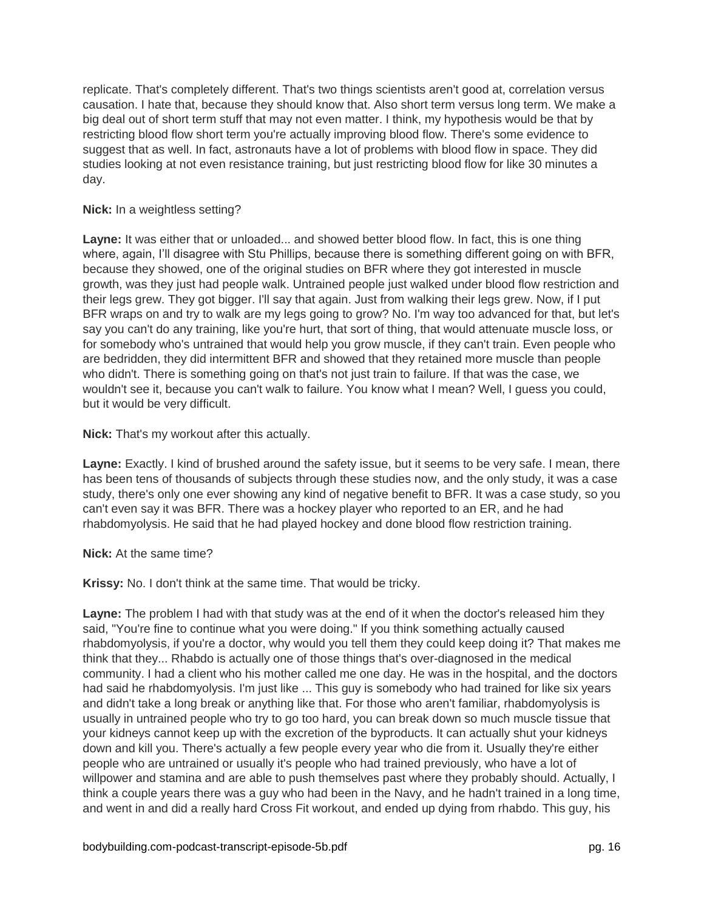replicate. That's completely different. That's two things scientists aren't good at, correlation versus causation. I hate that, because they should know that. Also short term versus long term. We make a big deal out of short term stuff that may not even matter. I think, my hypothesis would be that by restricting blood flow short term you're actually improving blood flow. There's some evidence to suggest that as well. In fact, astronauts have a lot of problems with blood flow in space. They did studies looking at not even resistance training, but just restricting blood flow for like 30 minutes a day.

## **Nick:** In a weightless setting?

**Layne:** It was either that or unloaded... and showed better blood flow. In fact, this is one thing where, again, I'll disagree with Stu Phillips, because there is something different going on with BFR, because they showed, one of the original studies on BFR where they got interested in muscle growth, was they just had people walk. Untrained people just walked under blood flow restriction and their legs grew. They got bigger. I'll say that again. Just from walking their legs grew. Now, if I put BFR wraps on and try to walk are my legs going to grow? No. I'm way too advanced for that, but let's say you can't do any training, like you're hurt, that sort of thing, that would attenuate muscle loss, or for somebody who's untrained that would help you grow muscle, if they can't train. Even people who are bedridden, they did intermittent BFR and showed that they retained more muscle than people who didn't. There is something going on that's not just train to failure. If that was the case, we wouldn't see it, because you can't walk to failure. You know what I mean? Well, I guess you could, but it would be very difficult.

**Nick:** That's my workout after this actually.

**Layne:** Exactly. I kind of brushed around the safety issue, but it seems to be very safe. I mean, there has been tens of thousands of subjects through these studies now, and the only study, it was a case study, there's only one ever showing any kind of negative benefit to BFR. It was a case study, so you can't even say it was BFR. There was a hockey player who reported to an ER, and he had rhabdomyolysis. He said that he had played hockey and done blood flow restriction training.

## **Nick:** At the same time?

**Krissy:** No. I don't think at the same time. That would be tricky.

**Layne:** The problem I had with that study was at the end of it when the doctor's released him they said, "You're fine to continue what you were doing." If you think something actually caused rhabdomyolysis, if you're a doctor, why would you tell them they could keep doing it? That makes me think that they... Rhabdo is actually one of those things that's over-diagnosed in the medical community. I had a client who his mother called me one day. He was in the hospital, and the doctors had said he rhabdomyolysis. I'm just like ... This guy is somebody who had trained for like six years and didn't take a long break or anything like that. For those who aren't familiar, rhabdomyolysis is usually in untrained people who try to go too hard, you can break down so much muscle tissue that your kidneys cannot keep up with the excretion of the byproducts. It can actually shut your kidneys down and kill you. There's actually a few people every year who die from it. Usually they're either people who are untrained or usually it's people who had trained previously, who have a lot of willpower and stamina and are able to push themselves past where they probably should. Actually, I think a couple years there was a guy who had been in the Navy, and he hadn't trained in a long time, and went in and did a really hard Cross Fit workout, and ended up dying from rhabdo. This guy, his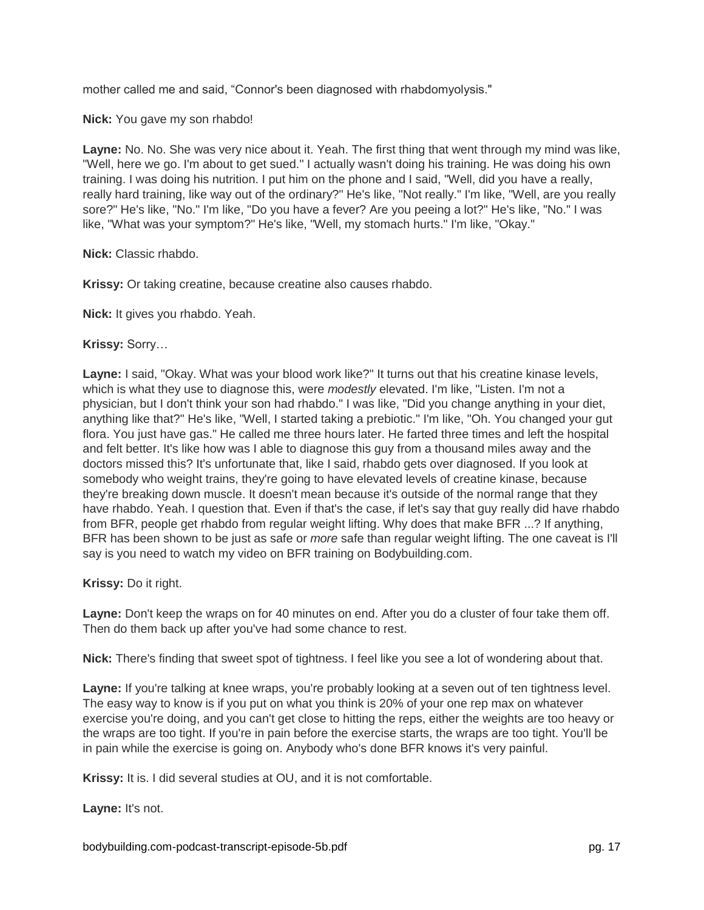mother called me and said, "Connor's been diagnosed with rhabdomyolysis."

**Nick:** You gave my son rhabdo!

**Layne:** No. No. She was very nice about it. Yeah. The first thing that went through my mind was like, "Well, here we go. I'm about to get sued." I actually wasn't doing his training. He was doing his own training. I was doing his nutrition. I put him on the phone and I said, "Well, did you have a really, really hard training, like way out of the ordinary?" He's like, "Not really." I'm like, "Well, are you really sore?" He's like, "No." I'm like, "Do you have a fever? Are you peeing a lot?" He's like, "No." I was like, "What was your symptom?" He's like, "Well, my stomach hurts." I'm like, "Okay."

**Nick:** Classic rhabdo.

**Krissy:** Or taking creatine, because creatine also causes rhabdo.

**Nick:** It gives you rhabdo. Yeah.

**Krissy:** Sorry…

**Layne:** I said, "Okay. What was your blood work like?" It turns out that his creatine kinase levels, which is what they use to diagnose this, were *modestly* elevated. I'm like, "Listen. I'm not a physician, but I don't think your son had rhabdo." I was like, "Did you change anything in your diet, anything like that?" He's like, "Well, I started taking a prebiotic." I'm like, "Oh. You changed your gut flora. You just have gas." He called me three hours later. He farted three times and left the hospital and felt better. It's like how was I able to diagnose this guy from a thousand miles away and the doctors missed this? It's unfortunate that, like I said, rhabdo gets over diagnosed. If you look at somebody who weight trains, they're going to have elevated levels of creatine kinase, because they're breaking down muscle. It doesn't mean because it's outside of the normal range that they have rhabdo. Yeah. I question that. Even if that's the case, if let's say that guy really did have rhabdo from BFR, people get rhabdo from regular weight lifting. Why does that make BFR ...? If anything, BFR has been shown to be just as safe or *more* safe than regular weight lifting. The one caveat is I'll say is you need to watch my video on BFR training on Bodybuilding.com.

**Krissy:** Do it right.

**Layne:** Don't keep the wraps on for 40 minutes on end. After you do a cluster of four take them off. Then do them back up after you've had some chance to rest.

**Nick:** There's finding that sweet spot of tightness. I feel like you see a lot of wondering about that.

Layne: If you're talking at knee wraps, you're probably looking at a seven out of ten tightness level. The easy way to know is if you put on what you think is 20% of your one rep max on whatever exercise you're doing, and you can't get close to hitting the reps, either the weights are too heavy or the wraps are too tight. If you're in pain before the exercise starts, the wraps are too tight. You'll be in pain while the exercise is going on. Anybody who's done BFR knows it's very painful.

**Krissy:** It is. I did several studies at OU, and it is not comfortable.

**Layne:** It's not.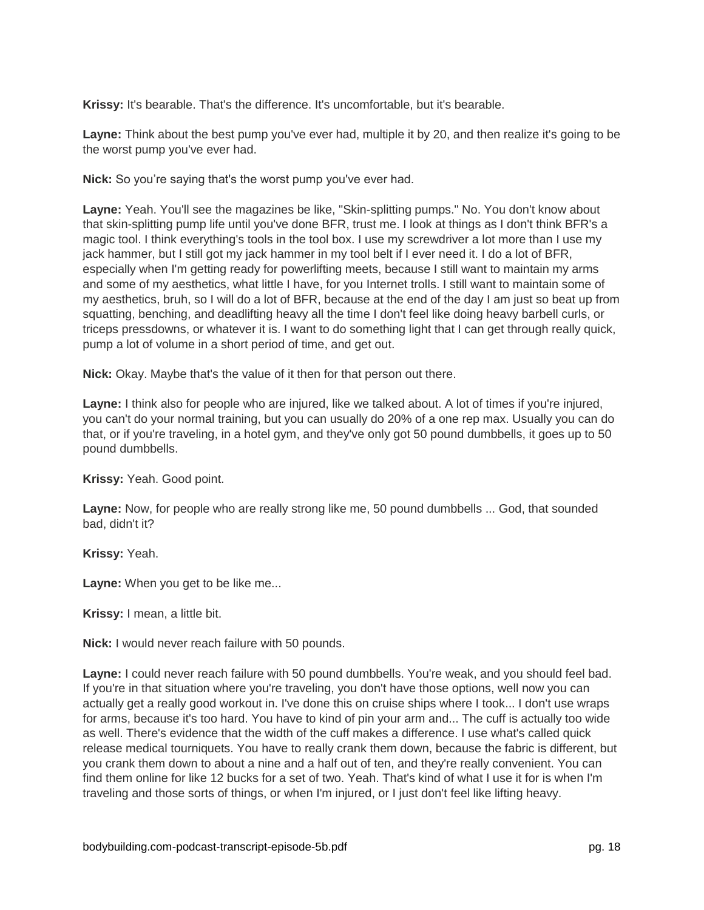**Krissy:** It's bearable. That's the difference. It's uncomfortable, but it's bearable.

**Layne:** Think about the best pump you've ever had, multiple it by 20, and then realize it's going to be the worst pump you've ever had.

**Nick:** So you're saying that's the worst pump you've ever had.

**Layne:** Yeah. You'll see the magazines be like, "Skin-splitting pumps." No. You don't know about that skin-splitting pump life until you've done BFR, trust me. I look at things as I don't think BFR's a magic tool. I think everything's tools in the tool box. I use my screwdriver a lot more than I use my jack hammer, but I still got my jack hammer in my tool belt if I ever need it. I do a lot of BFR, especially when I'm getting ready for powerlifting meets, because I still want to maintain my arms and some of my aesthetics, what little I have, for you Internet trolls. I still want to maintain some of my aesthetics, bruh, so I will do a lot of BFR, because at the end of the day I am just so beat up from squatting, benching, and deadlifting heavy all the time I don't feel like doing heavy barbell curls, or triceps pressdowns, or whatever it is. I want to do something light that I can get through really quick, pump a lot of volume in a short period of time, and get out.

**Nick:** Okay. Maybe that's the value of it then for that person out there.

**Layne:** I think also for people who are injured, like we talked about. A lot of times if you're injured, you can't do your normal training, but you can usually do 20% of a one rep max. Usually you can do that, or if you're traveling, in a hotel gym, and they've only got 50 pound dumbbells, it goes up to 50 pound dumbbells.

**Krissy:** Yeah. Good point.

**Layne:** Now, for people who are really strong like me, 50 pound dumbbells ... God, that sounded bad, didn't it?

**Krissy:** Yeah.

**Layne:** When you get to be like me...

**Krissy:** I mean, a little bit.

**Nick:** I would never reach failure with 50 pounds.

**Layne:** I could never reach failure with 50 pound dumbbells. You're weak, and you should feel bad. If you're in that situation where you're traveling, you don't have those options, well now you can actually get a really good workout in. I've done this on cruise ships where I took... I don't use wraps for arms, because it's too hard. You have to kind of pin your arm and... The cuff is actually too wide as well. There's evidence that the width of the cuff makes a difference. I use what's called quick release medical tourniquets. You have to really crank them down, because the fabric is different, but you crank them down to about a nine and a half out of ten, and they're really convenient. You can find them online for like 12 bucks for a set of two. Yeah. That's kind of what I use it for is when I'm traveling and those sorts of things, or when I'm injured, or I just don't feel like lifting heavy.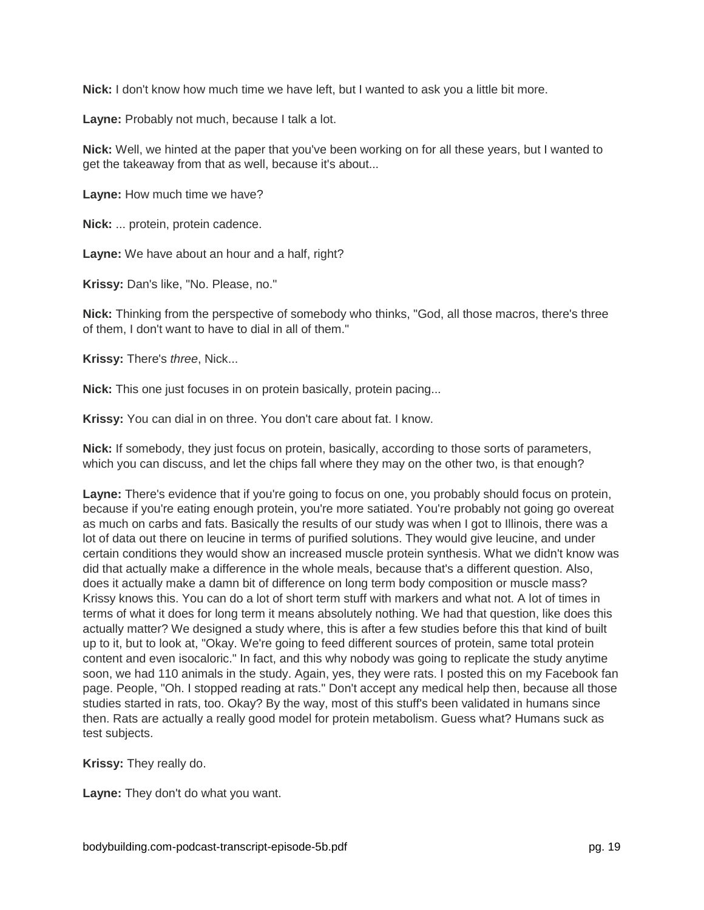**Nick:** I don't know how much time we have left, but I wanted to ask you a little bit more.

**Layne:** Probably not much, because I talk a lot.

**Nick:** Well, we hinted at the paper that you've been working on for all these years, but I wanted to get the takeaway from that as well, because it's about...

**Layne:** How much time we have?

**Nick:** ... protein, protein cadence.

**Layne:** We have about an hour and a half, right?

**Krissy:** Dan's like, "No. Please, no."

**Nick:** Thinking from the perspective of somebody who thinks, "God, all those macros, there's three of them, I don't want to have to dial in all of them."

**Krissy:** There's *three*, Nick...

**Nick:** This one just focuses in on protein basically, protein pacing...

**Krissy:** You can dial in on three. You don't care about fat. I know.

**Nick:** If somebody, they just focus on protein, basically, according to those sorts of parameters, which you can discuss, and let the chips fall where they may on the other two, is that enough?

**Layne:** There's evidence that if you're going to focus on one, you probably should focus on protein, because if you're eating enough protein, you're more satiated. You're probably not going go overeat as much on carbs and fats. Basically the results of our study was when I got to Illinois, there was a lot of data out there on leucine in terms of purified solutions. They would give leucine, and under certain conditions they would show an increased muscle protein synthesis. What we didn't know was did that actually make a difference in the whole meals, because that's a different question. Also, does it actually make a damn bit of difference on long term body composition or muscle mass? Krissy knows this. You can do a lot of short term stuff with markers and what not. A lot of times in terms of what it does for long term it means absolutely nothing. We had that question, like does this actually matter? We designed a study where, this is after a few studies before this that kind of built up to it, but to look at, "Okay. We're going to feed different sources of protein, same total protein content and even isocaloric." In fact, and this why nobody was going to replicate the study anytime soon, we had 110 animals in the study. Again, yes, they were rats. I posted this on my Facebook fan page. People, "Oh. I stopped reading at rats." Don't accept any medical help then, because all those studies started in rats, too. Okay? By the way, most of this stuff's been validated in humans since then. Rats are actually a really good model for protein metabolism. Guess what? Humans suck as test subjects.

**Krissy:** They really do.

**Layne:** They don't do what you want.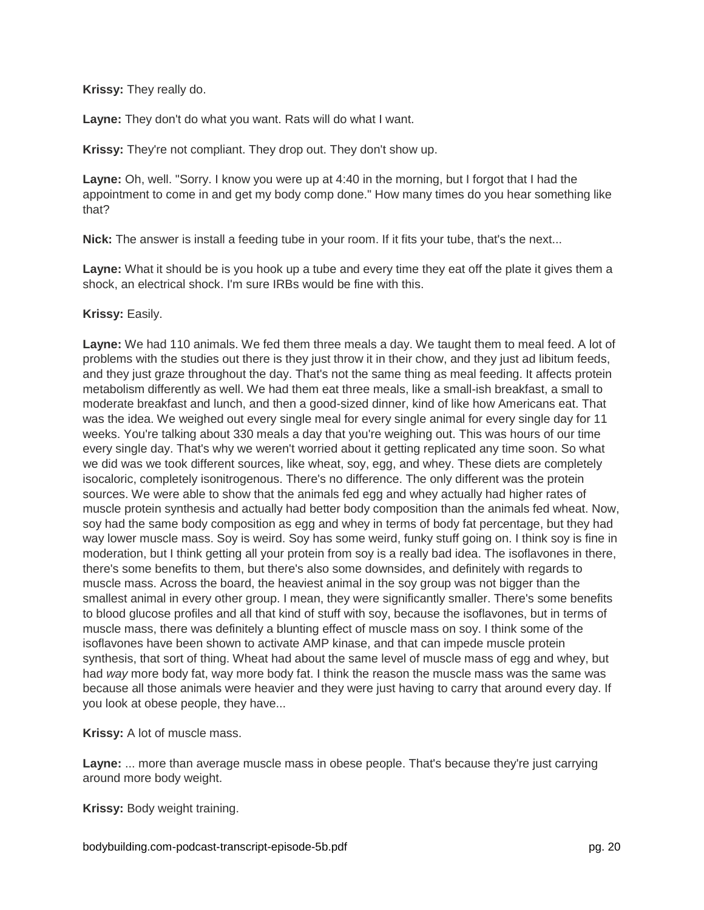**Krissy:** They really do.

**Layne:** They don't do what you want. Rats will do what I want.

**Krissy:** They're not compliant. They drop out. They don't show up.

**Layne:** Oh, well. "Sorry. I know you were up at 4:40 in the morning, but I forgot that I had the appointment to come in and get my body comp done." How many times do you hear something like that?

**Nick:** The answer is install a feeding tube in your room. If it fits your tube, that's the next...

**Layne:** What it should be is you hook up a tube and every time they eat off the plate it gives them a shock, an electrical shock. I'm sure IRBs would be fine with this.

**Krissy:** Easily.

**Layne:** We had 110 animals. We fed them three meals a day. We taught them to meal feed. A lot of problems with the studies out there is they just throw it in their chow, and they just ad libitum feeds, and they just graze throughout the day. That's not the same thing as meal feeding. It affects protein metabolism differently as well. We had them eat three meals, like a small-ish breakfast, a small to moderate breakfast and lunch, and then a good-sized dinner, kind of like how Americans eat. That was the idea. We weighed out every single meal for every single animal for every single day for 11 weeks. You're talking about 330 meals a day that you're weighing out. This was hours of our time every single day. That's why we weren't worried about it getting replicated any time soon. So what we did was we took different sources, like wheat, soy, egg, and whey. These diets are completely isocaloric, completely isonitrogenous. There's no difference. The only different was the protein sources. We were able to show that the animals fed egg and whey actually had higher rates of muscle protein synthesis and actually had better body composition than the animals fed wheat. Now, soy had the same body composition as egg and whey in terms of body fat percentage, but they had way lower muscle mass. Soy is weird. Soy has some weird, funky stuff going on. I think soy is fine in moderation, but I think getting all your protein from soy is a really bad idea. The isoflavones in there, there's some benefits to them, but there's also some downsides, and definitely with regards to muscle mass. Across the board, the heaviest animal in the soy group was not bigger than the smallest animal in every other group. I mean, they were significantly smaller. There's some benefits to blood glucose profiles and all that kind of stuff with soy, because the isoflavones, but in terms of muscle mass, there was definitely a blunting effect of muscle mass on soy. I think some of the isoflavones have been shown to activate AMP kinase, and that can impede muscle protein synthesis, that sort of thing. Wheat had about the same level of muscle mass of egg and whey, but had *way* more body fat, way more body fat. I think the reason the muscle mass was the same was because all those animals were heavier and they were just having to carry that around every day. If you look at obese people, they have...

**Krissy:** A lot of muscle mass.

**Layne:** ... more than average muscle mass in obese people. That's because they're just carrying around more body weight.

**Krissy:** Body weight training.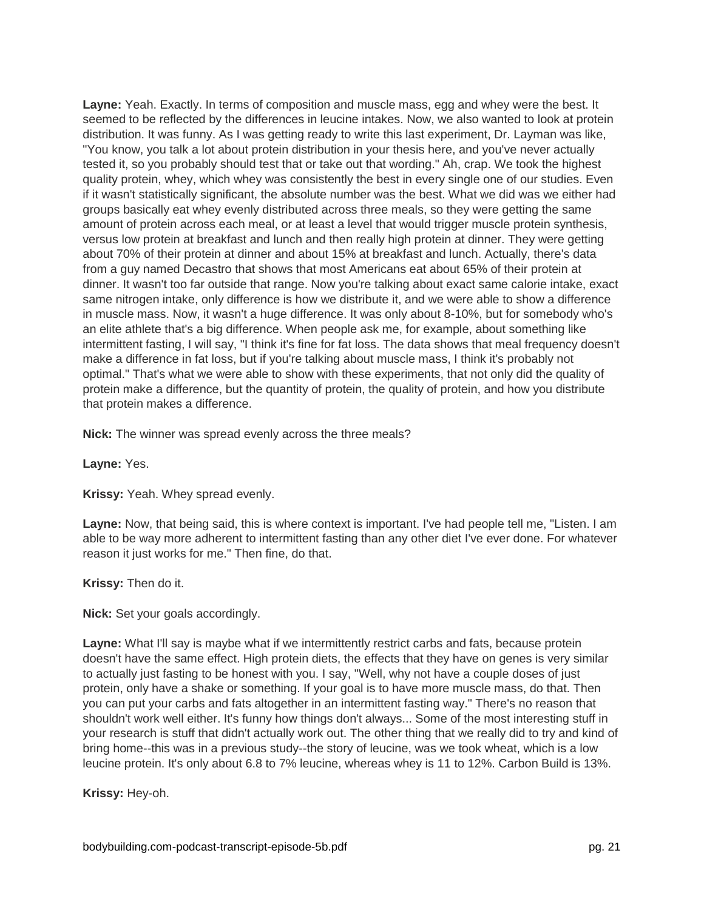**Layne:** Yeah. Exactly. In terms of composition and muscle mass, egg and whey were the best. It seemed to be reflected by the differences in leucine intakes. Now, we also wanted to look at protein distribution. It was funny. As I was getting ready to write this last experiment, Dr. Layman was like, "You know, you talk a lot about protein distribution in your thesis here, and you've never actually tested it, so you probably should test that or take out that wording." Ah, crap. We took the highest quality protein, whey, which whey was consistently the best in every single one of our studies. Even if it wasn't statistically significant, the absolute number was the best. What we did was we either had groups basically eat whey evenly distributed across three meals, so they were getting the same amount of protein across each meal, or at least a level that would trigger muscle protein synthesis, versus low protein at breakfast and lunch and then really high protein at dinner. They were getting about 70% of their protein at dinner and about 15% at breakfast and lunch. Actually, there's data from a guy named Decastro that shows that most Americans eat about 65% of their protein at dinner. It wasn't too far outside that range. Now you're talking about exact same calorie intake, exact same nitrogen intake, only difference is how we distribute it, and we were able to show a difference in muscle mass. Now, it wasn't a huge difference. It was only about 8-10%, but for somebody who's an elite athlete that's a big difference. When people ask me, for example, about something like intermittent fasting, I will say, "I think it's fine for fat loss. The data shows that meal frequency doesn't make a difference in fat loss, but if you're talking about muscle mass, I think it's probably not optimal." That's what we were able to show with these experiments, that not only did the quality of protein make a difference, but the quantity of protein, the quality of protein, and how you distribute that protein makes a difference.

**Nick:** The winner was spread evenly across the three meals?

**Layne:** Yes.

**Krissy:** Yeah. Whey spread evenly.

**Layne:** Now, that being said, this is where context is important. I've had people tell me, "Listen. I am able to be way more adherent to intermittent fasting than any other diet I've ever done. For whatever reason it just works for me." Then fine, do that.

**Krissy:** Then do it.

**Nick:** Set your goals accordingly.

**Layne:** What I'll say is maybe what if we intermittently restrict carbs and fats, because protein doesn't have the same effect. High protein diets, the effects that they have on genes is very similar to actually just fasting to be honest with you. I say, "Well, why not have a couple doses of just protein, only have a shake or something. If your goal is to have more muscle mass, do that. Then you can put your carbs and fats altogether in an intermittent fasting way." There's no reason that shouldn't work well either. It's funny how things don't always... Some of the most interesting stuff in your research is stuff that didn't actually work out. The other thing that we really did to try and kind of bring home--this was in a previous study--the story of leucine, was we took wheat, which is a low leucine protein. It's only about 6.8 to 7% leucine, whereas whey is 11 to 12%. Carbon Build is 13%.

**Krissy:** Hey-oh.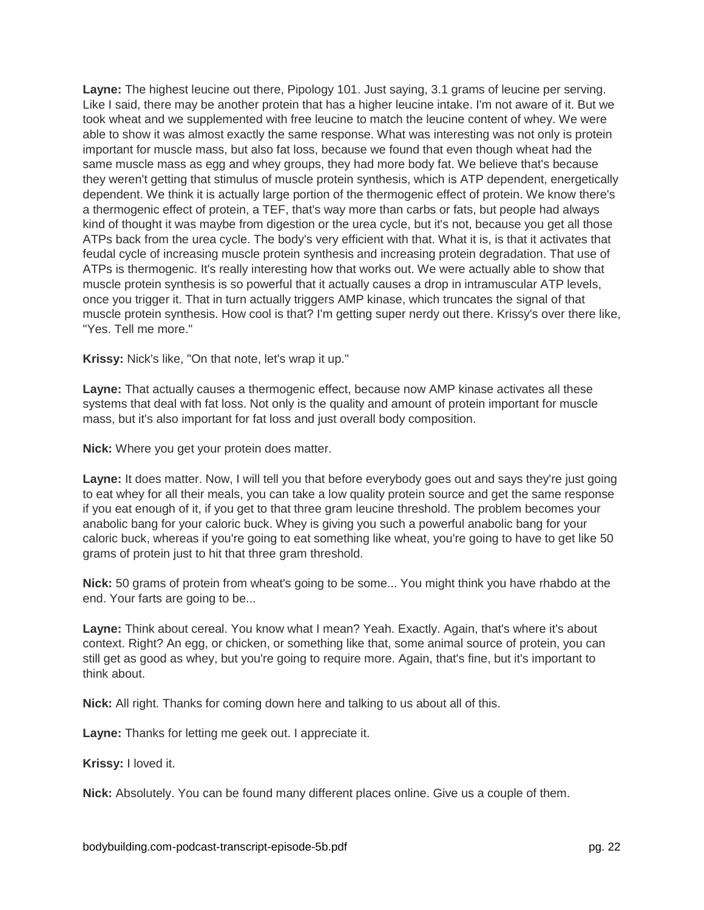**Layne:** The highest leucine out there, Pipology 101. Just saying, 3.1 grams of leucine per serving. Like I said, there may be another protein that has a higher leucine intake. I'm not aware of it. But we took wheat and we supplemented with free leucine to match the leucine content of whey. We were able to show it was almost exactly the same response. What was interesting was not only is protein important for muscle mass, but also fat loss, because we found that even though wheat had the same muscle mass as egg and whey groups, they had more body fat. We believe that's because they weren't getting that stimulus of muscle protein synthesis, which is ATP dependent, energetically dependent. We think it is actually large portion of the thermogenic effect of protein. We know there's a thermogenic effect of protein, a TEF, that's way more than carbs or fats, but people had always kind of thought it was maybe from digestion or the urea cycle, but it's not, because you get all those ATPs back from the urea cycle. The body's very efficient with that. What it is, is that it activates that feudal cycle of increasing muscle protein synthesis and increasing protein degradation. That use of ATPs is thermogenic. It's really interesting how that works out. We were actually able to show that muscle protein synthesis is so powerful that it actually causes a drop in intramuscular ATP levels, once you trigger it. That in turn actually triggers AMP kinase, which truncates the signal of that muscle protein synthesis. How cool is that? I'm getting super nerdy out there. Krissy's over there like, "Yes. Tell me more."

**Krissy:** Nick's like, "On that note, let's wrap it up."

**Layne:** That actually causes a thermogenic effect, because now AMP kinase activates all these systems that deal with fat loss. Not only is the quality and amount of protein important for muscle mass, but it's also important for fat loss and just overall body composition.

**Nick:** Where you get your protein does matter.

**Layne:** It does matter. Now, I will tell you that before everybody goes out and says they're just going to eat whey for all their meals, you can take a low quality protein source and get the same response if you eat enough of it, if you get to that three gram leucine threshold. The problem becomes your anabolic bang for your caloric buck. Whey is giving you such a powerful anabolic bang for your caloric buck, whereas if you're going to eat something like wheat, you're going to have to get like 50 grams of protein just to hit that three gram threshold.

**Nick:** 50 grams of protein from wheat's going to be some... You might think you have rhabdo at the end. Your farts are going to be...

**Layne:** Think about cereal. You know what I mean? Yeah. Exactly. Again, that's where it's about context. Right? An egg, or chicken, or something like that, some animal source of protein, you can still get as good as whey, but you're going to require more. Again, that's fine, but it's important to think about.

**Nick:** All right. Thanks for coming down here and talking to us about all of this.

**Layne:** Thanks for letting me geek out. I appreciate it.

**Krissy:** I loved it.

**Nick:** Absolutely. You can be found many different places online. Give us a couple of them.